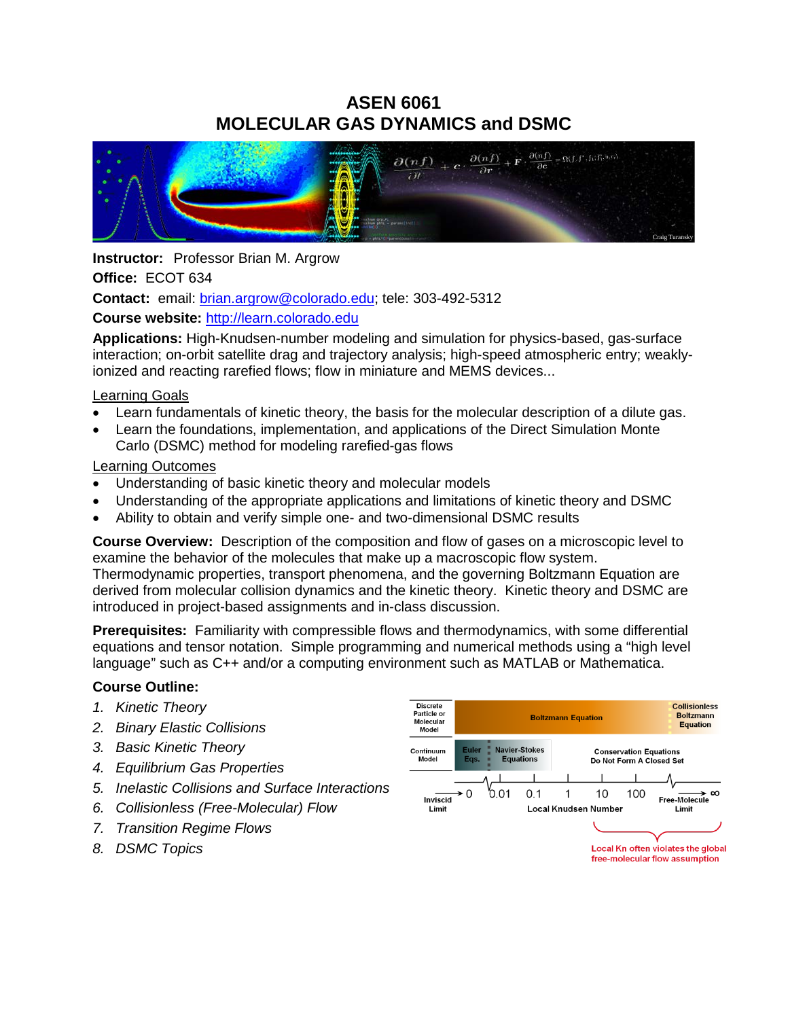# **ASEN 6061 MOLECULAR GAS DYNAMICS and DSMC**



**Instructor:** Professor Brian M. Argrow **Office:** ECOT 634 **Contact:** email: [brian.argrow@colorado.edu;](mailto:brian.argrow@colorado.edu) tele: 303-492-5312

## **Course website:** [http://learn.colorado.edu](http://learn.colorado.edu/)

**Applications:** High-Knudsen-number modeling and simulation for physics-based, gas-surface interaction; on-orbit satellite drag and trajectory analysis; high-speed atmospheric entry; weaklyionized and reacting rarefied flows; flow in miniature and MEMS devices...

## Learning Goals

- Learn fundamentals of kinetic theory, the basis for the molecular description of a dilute gas.
- Learn the foundations, implementation, and applications of the Direct Simulation Monte Carlo (DSMC) method for modeling rarefied-gas flows

## Learning Outcomes

- Understanding of basic kinetic theory and molecular models
- Understanding of the appropriate applications and limitations of kinetic theory and DSMC
- Ability to obtain and verify simple one- and two-dimensional DSMC results

**Course Overview:** Description of the composition and flow of gases on a microscopic level to examine the behavior of the molecules that make up a macroscopic flow system. Thermodynamic properties, transport phenomena, and the governing Boltzmann Equation are derived from molecular collision dynamics and the kinetic theory. Kinetic theory and DSMC are introduced in project-based assignments and in-class discussion.

**Prerequisites:** Familiarity with compressible flows and thermodynamics, with some differential equations and tensor notation. Simple programming and numerical methods using a "high level language" such as C++ and/or a computing environment such as MATLAB or Mathematica.

# **Course Outline:**

- *1. Kinetic Theory*
- *2. Binary Elastic Collisions*
- *3. Basic Kinetic Theory*
- *4. Equilibrium Gas Properties*
- *5. Inelastic Collisions and Surface Interactions*
- *6. Collisionless (Free-Molecular) Flow*
- *7. Transition Regime Flows*
- *8. DSMC Topics*